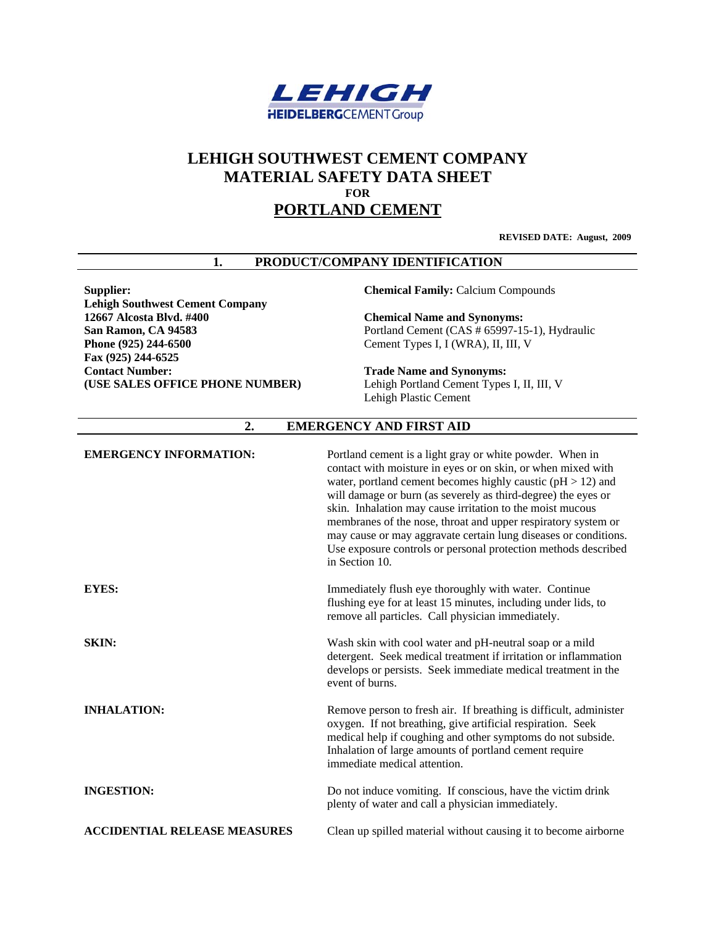

# **LEHIGH SOUTHWEST CEMENT COMPANY MATERIAL SAFETY DATA SHEET FOR PORTLAND CEMENT**

**REVISED DATE: August, 2009**

#### **1. PRODUCT/COMPANY IDENTIFICATION**

**Lehigh Southwest Cement Company San Ramon, CA 94583 Phone (925) 244-6500 Fax (925) 244-6525 Contact Number: (USE SALES OFFICE PHONE NUMBER)** 

**Supplier: Chemical Family: Calcium Compounds** 

**1266 Chemical Name and Synonyms:** Portland Cement (CAS # 65997-15-1), Hydraulic Cement Types I, I (WRA), II, III, V

**Trade Name and Synonyms:**  Lehigh Portland Cement Types I, II, III, V Lehigh Plastic Cement

## **2. EMERGENCY AND FIRST AID**

| <b>EMERGENCY INFORMATION:</b>       | Portland cement is a light gray or white powder. When in<br>contact with moisture in eyes or on skin, or when mixed with<br>water, portland cement becomes highly caustic ( $pH > 12$ ) and<br>will damage or burn (as severely as third-degree) the eyes or<br>skin. Inhalation may cause irritation to the moist mucous<br>membranes of the nose, throat and upper respiratory system or<br>may cause or may aggravate certain lung diseases or conditions.<br>Use exposure controls or personal protection methods described<br>in Section 10. |
|-------------------------------------|---------------------------------------------------------------------------------------------------------------------------------------------------------------------------------------------------------------------------------------------------------------------------------------------------------------------------------------------------------------------------------------------------------------------------------------------------------------------------------------------------------------------------------------------------|
| EYES:                               | Immediately flush eye thoroughly with water. Continue<br>flushing eye for at least 15 minutes, including under lids, to<br>remove all particles. Call physician immediately.                                                                                                                                                                                                                                                                                                                                                                      |
| <b>SKIN:</b>                        | Wash skin with cool water and pH-neutral soap or a mild<br>detergent. Seek medical treatment if irritation or inflammation<br>develops or persists. Seek immediate medical treatment in the<br>event of burns.                                                                                                                                                                                                                                                                                                                                    |
| <b>INHALATION:</b>                  | Remove person to fresh air. If breathing is difficult, administer<br>oxygen. If not breathing, give artificial respiration. Seek<br>medical help if coughing and other symptoms do not subside.<br>Inhalation of large amounts of portland cement require<br>immediate medical attention.                                                                                                                                                                                                                                                         |
| <b>INGESTION:</b>                   | Do not induce vomiting. If conscious, have the victim drink<br>plenty of water and call a physician immediately.                                                                                                                                                                                                                                                                                                                                                                                                                                  |
| <b>ACCIDENTIAL RELEASE MEASURES</b> | Clean up spilled material without causing it to become airborne                                                                                                                                                                                                                                                                                                                                                                                                                                                                                   |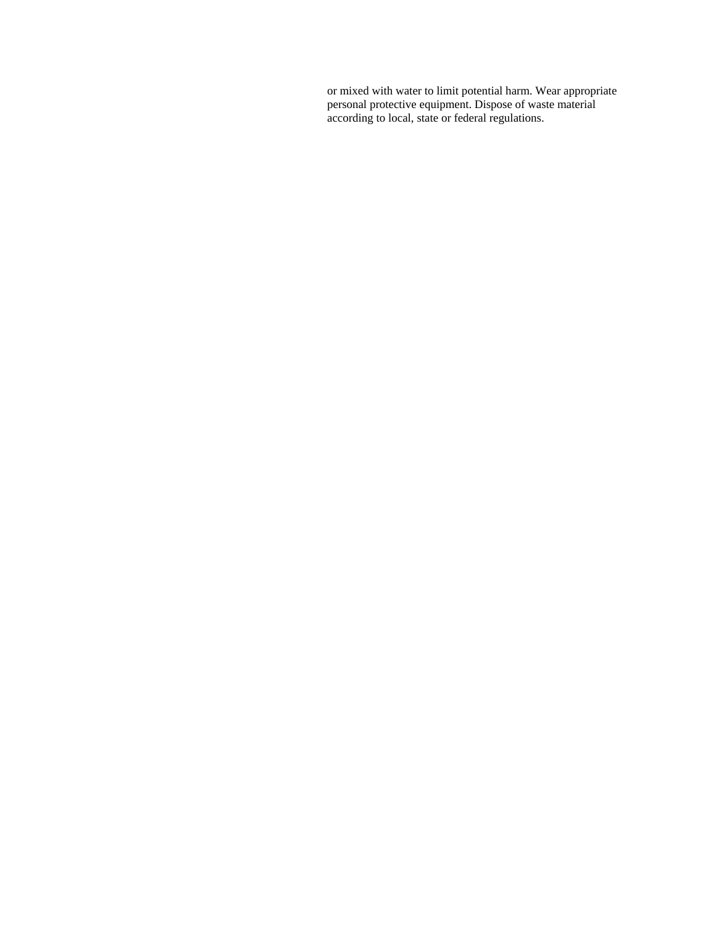or mixed with water to limit potential harm. Wear appropriate personal protective equipment. Dispose of waste material according to local, state or federal regulations.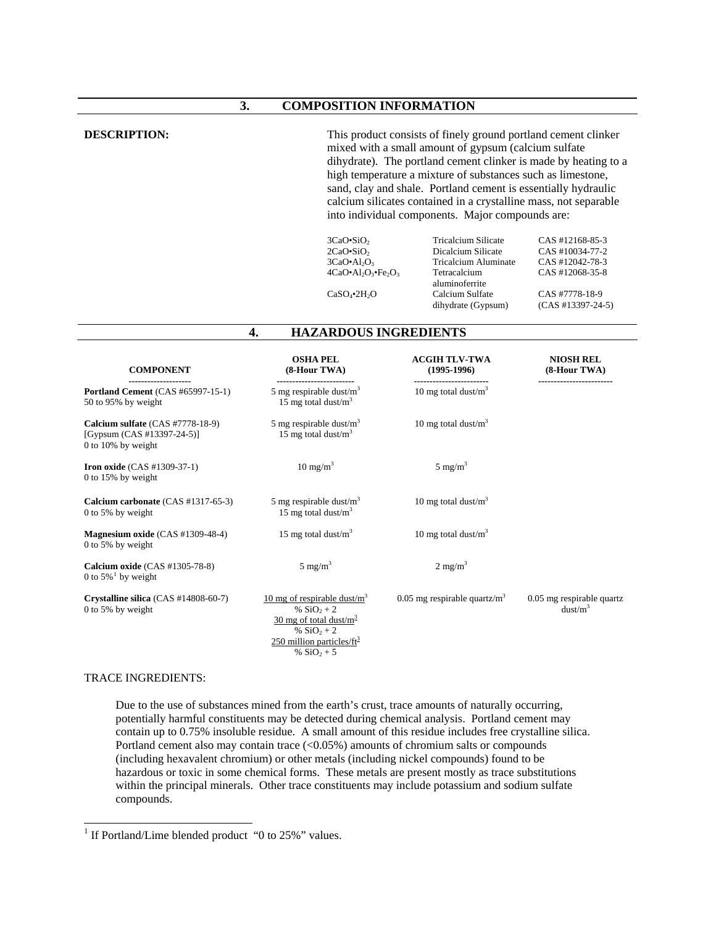#### **3. COMPOSITION INFORMATION**

**DESCRIPTION:** This product consists of finely ground portland cement clinker mixed with a small amount of gypsum (calcium sulfate dihydrate). The portland cement clinker is made by heating to a high temperature a mixture of substances such as limestone, sand, clay and shale. Portland cement is essentially hydraulic calcium silicates contained in a crystalline mass, not separable into individual components. Major compounds are:

| $3CaO-SiO2$                 | <b>Tricalcium Silicate</b> | CAS #12168-85-3     |
|-----------------------------|----------------------------|---------------------|
| $2CaO-SiO2$                 | Dicalcium Silicate         | CAS #10034-77-2     |
| $3CaO•Al2O3$                | Tricalcium Aluminate       | CAS #12042-78-3     |
| $4CaO•Al2O3·Fe2O3$          | Tetracalcium               | CAS #12068-35-8     |
|                             | aluminoferrite             |                     |
| $CaSO_4$ •2H <sub>2</sub> O | Calcium Sulfate            | CAS #7778-18-9      |
|                             | dihydrate (Gypsum)         | $(CAS #13397-24-5)$ |

#### **4. HAZARDOUS INGREDIENTS**

| <b>COMPONENT</b>                                                                          | <b>OSHA PEL</b><br>(8-Hour TWA)                                                                                                           | <b>ACGIH TLV-TWA</b><br>$(1995-1996)$       | <b>NIOSH REL</b><br>(8-Hour TWA)                 |
|-------------------------------------------------------------------------------------------|-------------------------------------------------------------------------------------------------------------------------------------------|---------------------------------------------|--------------------------------------------------|
| <b>Portland Cement</b> (CAS #65997-15-1)<br>50 to 95% by weight                           | 5 mg respirable dust/ $m3$<br>15 mg total dust/ $m3$                                                                                      | -----------------<br>10 mg total dust/ $m3$ |                                                  |
| Calcium sulfate (CAS #7778-18-9)<br>[Gypsum $(CAS #13397-24-5)$ ]<br>$0$ to 10% by weight | 5 mg respirable dust/ $m3$<br>15 mg total dust/ $m3$                                                                                      | 10 mg total dust/ $m3$                      |                                                  |
| <b>Iron oxide</b> $(CAS #1309-37-1)$<br>$0$ to 15% by weight                              | $10 \text{ mg/m}^3$                                                                                                                       | $5 \text{ mg/m}^3$                          |                                                  |
| Calcium carbonate (CAS #1317-65-3)<br>0 to 5% by weight                                   | 5 mg respirable dust/ $m3$<br>15 mg total dust/ $m3$                                                                                      | 10 mg total dust/ $m3$                      |                                                  |
| Magnesium oxide (CAS #1309-48-4)<br>$0$ to 5% by weight                                   | 15 mg total dust/ $m3$                                                                                                                    | 10 mg total dust/ $m3$                      |                                                  |
| Calcium oxide $(CAS #1305-78-8)$<br>0 to $5\%$ <sup>1</sup> by weight                     | $5 \text{ mg/m}^3$                                                                                                                        | $2 \text{ mg/m}^3$                          |                                                  |
| Crystalline silica $(CAS #14808-60-7)$<br>0 to 5% by weight                               | 10 mg of respirable dust/ $m3$<br>% $SiO_2 + 2$<br>30 mg of total dust/ $m^3$<br>% $SiO_2 + 2$<br>$250$ million particles/ft <sup>3</sup> | 0.05 mg respirable quartz/ $m3$             | 0.05 mg respirable quartz<br>dust/m <sup>3</sup> |

#### TRACE INGREDIENTS:

 $\overline{\phantom{a}}$ 

Due to the use of substances mined from the earth's crust, trace amounts of naturally occurring, potentially harmful constituents may be detected during chemical analysis. Portland cement may contain up to 0.75% insoluble residue. A small amount of this residue includes free crystalline silica. Portland cement also may contain trace (<0.05%) amounts of chromium salts or compounds (including hexavalent chromium) or other metals (including nickel compounds) found to be hazardous or toxic in some chemical forms. These metals are present mostly as trace substitutions within the principal minerals. Other trace constituents may include potassium and sodium sulfate compounds.

%  $SiO_2 + 5$ 

<span id="page-2-0"></span><sup>&</sup>lt;sup>1</sup> If Portland/Lime blended product "0 to 25%" values.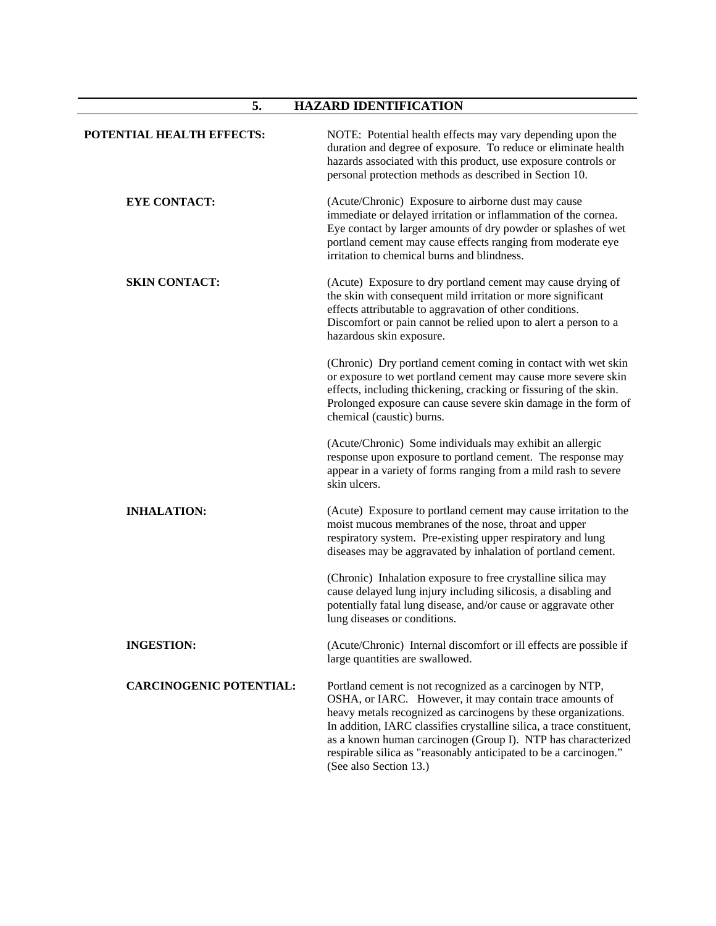# **5. HAZARD IDENTIFICATION**

| POTENTIAL HEALTH EFFECTS:      | NOTE: Potential health effects may vary depending upon the<br>duration and degree of exposure. To reduce or eliminate health<br>hazards associated with this product, use exposure controls or<br>personal protection methods as described in Section 10.                                                                                                                                                                      |
|--------------------------------|--------------------------------------------------------------------------------------------------------------------------------------------------------------------------------------------------------------------------------------------------------------------------------------------------------------------------------------------------------------------------------------------------------------------------------|
| <b>EYE CONTACT:</b>            | (Acute/Chronic) Exposure to airborne dust may cause<br>immediate or delayed irritation or inflammation of the cornea.<br>Eye contact by larger amounts of dry powder or splashes of wet<br>portland cement may cause effects ranging from moderate eye<br>irritation to chemical burns and blindness.                                                                                                                          |
| <b>SKIN CONTACT:</b>           | (Acute) Exposure to dry portland cement may cause drying of<br>the skin with consequent mild irritation or more significant<br>effects attributable to aggravation of other conditions.<br>Discomfort or pain cannot be relied upon to alert a person to a<br>hazardous skin exposure.                                                                                                                                         |
|                                | (Chronic) Dry portland cement coming in contact with wet skin<br>or exposure to wet portland cement may cause more severe skin<br>effects, including thickening, cracking or fissuring of the skin.<br>Prolonged exposure can cause severe skin damage in the form of<br>chemical (caustic) burns.                                                                                                                             |
|                                | (Acute/Chronic) Some individuals may exhibit an allergic<br>response upon exposure to portland cement. The response may<br>appear in a variety of forms ranging from a mild rash to severe<br>skin ulcers.                                                                                                                                                                                                                     |
| <b>INHALATION:</b>             | (Acute) Exposure to portland cement may cause irritation to the<br>moist mucous membranes of the nose, throat and upper<br>respiratory system. Pre-existing upper respiratory and lung<br>diseases may be aggravated by inhalation of portland cement.                                                                                                                                                                         |
|                                | (Chronic) Inhalation exposure to free crystalline silica may<br>cause delayed lung injury including silicosis, a disabling and<br>potentially fatal lung disease, and/or cause or aggravate other<br>lung diseases or conditions.                                                                                                                                                                                              |
| <b>INGESTION:</b>              | (Acute/Chronic) Internal discomfort or ill effects are possible if<br>large quantities are swallowed.                                                                                                                                                                                                                                                                                                                          |
| <b>CARCINOGENIC POTENTIAL:</b> | Portland cement is not recognized as a carcinogen by NTP,<br>OSHA, or IARC. However, it may contain trace amounts of<br>heavy metals recognized as carcinogens by these organizations.<br>In addition, IARC classifies crystalline silica, a trace constituent,<br>as a known human carcinogen (Group I). NTP has characterized<br>respirable silica as "reasonably anticipated to be a carcinogen."<br>(See also Section 13.) |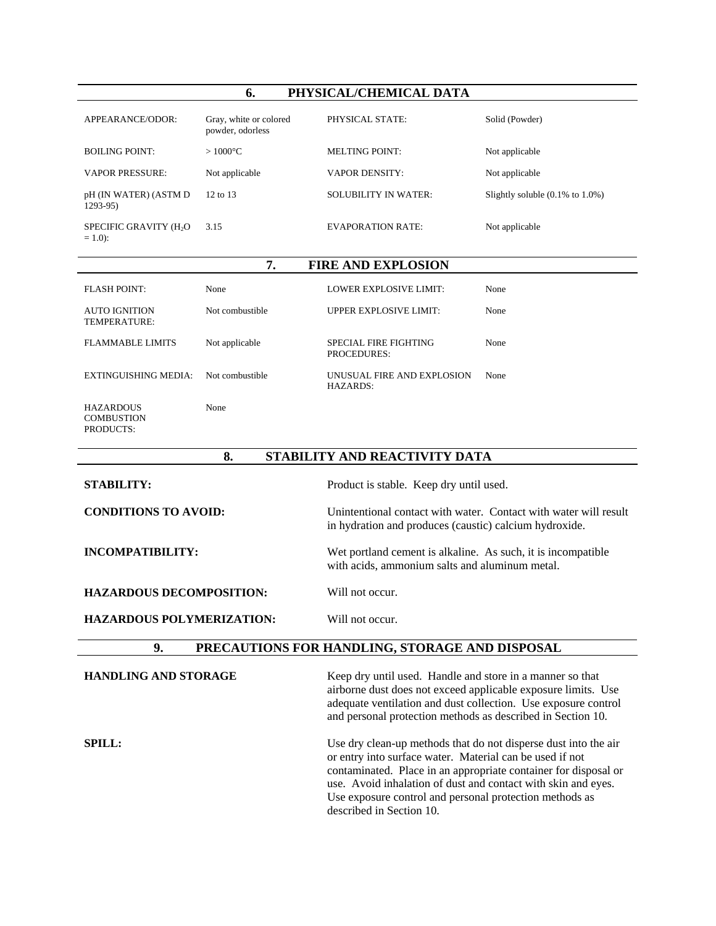#### **6. PHYSICAL/CHEMICAL DATA**

| APPEARANCE/ODOR:                                | Gray, white or colored<br>powder, odorless | PHYSICAL STATE:             | Solid (Powder)                               |
|-------------------------------------------------|--------------------------------------------|-----------------------------|----------------------------------------------|
| <b>BOILING POINT:</b>                           | $>1000^{\circ}$ C                          | <b>MELTING POINT:</b>       | Not applicable                               |
| <b>VAPOR PRESSURE:</b>                          | Not applicable                             | <b>VAPOR DENSITY:</b>       | Not applicable                               |
| pH (IN WATER) (ASTM D<br>$1293-95$              | $12 \text{ to } 13$                        | <b>SOLUBILITY IN WATER:</b> | Slightly soluble $(0.1\% \text{ to } 1.0\%)$ |
| SPECIFIC GRAVITY (H <sub>2</sub> O<br>$= 1.0$ : | 3.15                                       | EVAPORATION RATE:           | Not applicable                               |
| 7.<br><b>FIRE AND EXPLOSION</b>                 |                                            |                             |                                              |

|      | -- |                               |      |
|------|----|-------------------------------|------|
| None |    | <b>LOWER EXPLOSIVE LIMIT:</b> | None |
|      |    |                               |      |

FLASH POINT:

| AUTO IGNITION<br>TEMPERATURE:                      | Not combustible | UPPER EXPLOSIVE LIMIT:                      | None |
|----------------------------------------------------|-----------------|---------------------------------------------|------|
| <b>FLAMMABLE LIMITS</b>                            | Not applicable  | SPECIAL FIRE FIGHTING<br><b>PROCEDURES:</b> | None |
| <b>EXTINGUISHING MEDIA:</b>                        | Not combustible | UNUSUAL FIRE AND EXPLOSION<br>HAZARDS:      | None |
| <b>HAZARDOUS</b><br><b>COMBUSTION</b><br>PRODUCTS: | None            |                                             |      |

# **8. STABILITY AND REACTIVITY DATA**

| <b>STABILITY:</b>                | Product is stable. Keep dry until used.                                                                                                                                                                                                                     |
|----------------------------------|-------------------------------------------------------------------------------------------------------------------------------------------------------------------------------------------------------------------------------------------------------------|
| <b>CONDITIONS TO AVOID:</b>      | Unintentional contact with water. Contact with water will result<br>in hydration and produces (caustic) calcium hydroxide.                                                                                                                                  |
| INCOMPATIBILITY:                 | Wet portland cement is alkaline. As such, it is incompatible.<br>with acids, ammonium salts and aluminum metal.                                                                                                                                             |
| <b>HAZARDOUS DECOMPOSITION:</b>  | Will not occur.                                                                                                                                                                                                                                             |
| <b>HAZARDOUS POLYMERIZATION:</b> | Will not occur.                                                                                                                                                                                                                                             |
| 9.                               | PRECAUTIONS FOR HANDLING, STORAGE AND DISPOSAL                                                                                                                                                                                                              |
| <b>HANDLING AND STORAGE</b>      | Keep dry until used. Handle and store in a manner so that<br>airborne dust does not exceed applicable exposure limits. Use<br>adequate ventilation and dust collection. Use exposure control<br>and personal protection methods as described in Section 10. |

**SPILL:** Use dry clean-up methods that do not disperse dust into the air or entry into surface water. Material can be used if not contaminated. Place in an appropriate container for disposal or use. Avoid inhalation of dust and contact with skin and eyes. Use exposure control and personal protection methods as described in Section 10.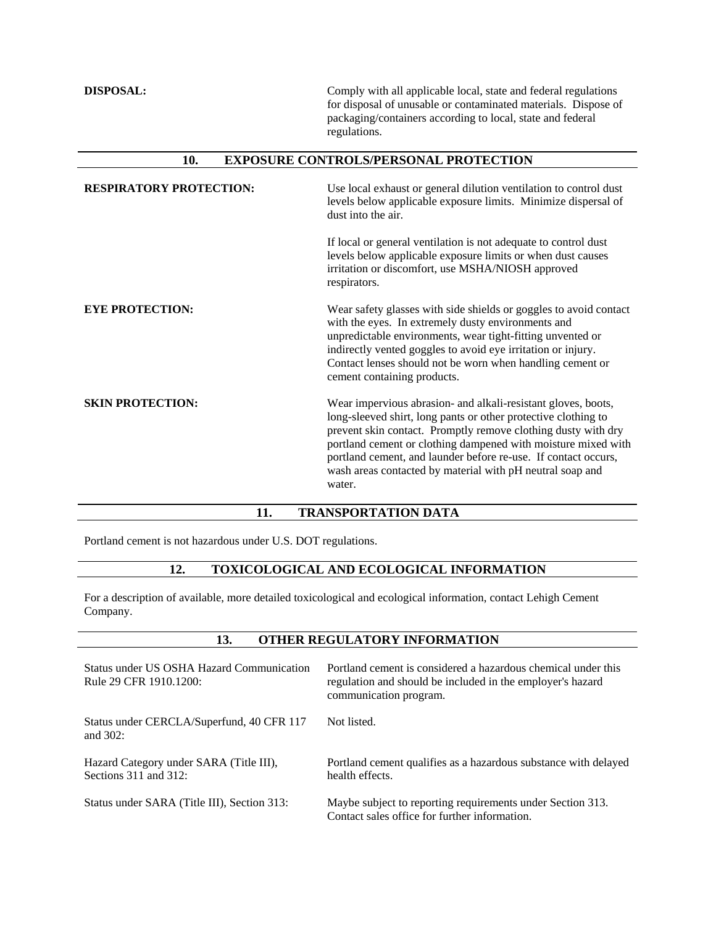**DISPOSAL:** Comply with all applicable local, state and federal regulations for disposal of unusable or contaminated materials. Dispose of packaging/containers according to local, state and federal regulations.

# **10. EXPOSURE CONTROLS/PERSONAL PROTECTION**

| <b>RESPIRATORY PROTECTION:</b> | Use local exhaust or general dilution ventilation to control dust<br>levels below applicable exposure limits. Minimize dispersal of<br>dust into the air.                                                                                                                                                                                                                                                  |
|--------------------------------|------------------------------------------------------------------------------------------------------------------------------------------------------------------------------------------------------------------------------------------------------------------------------------------------------------------------------------------------------------------------------------------------------------|
|                                | If local or general ventilation is not adequate to control dust<br>levels below applicable exposure limits or when dust causes<br>irritation or discomfort, use MSHA/NIOSH approved<br>respirators.                                                                                                                                                                                                        |
| <b>EYE PROTECTION:</b>         | Wear safety glasses with side shields or goggles to avoid contact<br>with the eyes. In extremely dusty environments and<br>unpredictable environments, wear tight-fitting unvented or<br>indirectly vented goggles to avoid eye irritation or injury.<br>Contact lenses should not be worn when handling cement or<br>cement containing products.                                                          |
| <b>SKIN PROTECTION:</b>        | Wear impervious abrasion- and alkali-resistant gloves, boots,<br>long-sleeved shirt, long pants or other protective clothing to<br>prevent skin contact. Promptly remove clothing dusty with dry<br>portland cement or clothing dampened with moisture mixed with<br>portland cement, and launder before re-use. If contact occurs,<br>wash areas contacted by material with pH neutral soap and<br>water. |

## **11. TRANSPORTATION DATA**

Portland cement is not hazardous under U.S. DOT regulations.

### **12. TOXICOLOGICAL AND ECOLOGICAL INFORMATION**

For a description of available, more detailed toxicological and ecological information, contact Lehigh Cement Company.

#### **13. OTHER REGULATORY INFORMATION**

| Status under US OSHA Hazard Communication<br>Rule 29 CFR 1910.1200:   | Portland cement is considered a hazardous chemical under this<br>regulation and should be included in the employer's hazard<br>communication program. |
|-----------------------------------------------------------------------|-------------------------------------------------------------------------------------------------------------------------------------------------------|
| Status under CERCLA/Superfund, 40 CFR 117<br>and $302$ :              | Not listed.                                                                                                                                           |
| Hazard Category under SARA (Title III),<br>Sections $311$ and $312$ : | Portland cement qualifies as a hazardous substance with delayed<br>health effects.                                                                    |
| Status under SARA (Title III), Section 313:                           | Maybe subject to reporting requirements under Section 313.<br>Contact sales office for further information.                                           |